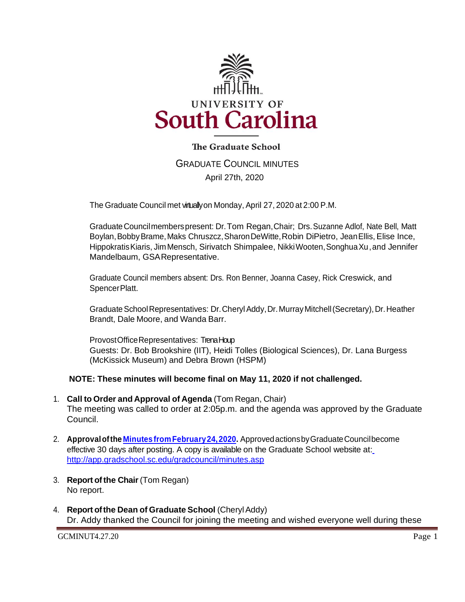

# **The Graduate School**

GRADUATE COUNCIL MINUTES April 27th, 2020

The Graduate Council met virtually on Monday, April 27, 2020 at 2:00 P.M.

GraduateCouncilmemberspresent: Dr.Tom Regan, Chair; Drs.Suzanne Adlof, Nate Bell, Matt Boylan,BobbyBrame,Maks Chruszcz,SharonDeWitte,Robin DiPietro, JeanEllis, Elise Ince, HippokratisKiaris, JimMensch, Sirivatch Shimpalee, NikkiWooten,SonghuaXu, and Jennifer Mandelbaum, GSARepresentative.

Graduate Council members absent: Drs. Ron Benner, Joanna Casey, Rick Creswick, and SpencerPlatt.

Graduate School Representatives: Dr. Cheryl Addy, Dr. Murray Mitchell (Secretary), Dr. Heather Brandt, Dale Moore, and Wanda Barr.

ProvostOfficeRepresentatives: TrenaHoup Guests: Dr. Bob Brookshire (IIT), Heidi Tolles (Biological Sciences), Dr. Lana Burgess (McKissick Museum) and Debra Brown (HSPM)

## **NOTE: These minutes will become final on May 11, 2020 if not challenged.**

- 1. **Call to Order and Approval of Agenda** (Tom Regan, Chair) The meeting was called to order at 2:05p.m. and the agenda was approved by the Graduate Council.
- 2. **Approvalofthe Minutes [fromFebruary24,2020.](file:///C:/Users/wandab/Downloads/gcmin2.24.20.pdf)** ApprovedactionsbyGraduateCouncilbecome effective 30 days after posting. A copy is available on the Graduate School website at[:](http://app.gradschool.sc.edu/gradcouncil/minutes.asp) <http://app.gradschool.sc.edu/gradcouncil/minutes.asp>
- 3. **Report of the Chair** (Tom Regan) No report.
- 4. **Report ofthe Dean of Graduate School** (CherylAddy) Dr. Addy thanked the Council for joining the meeting and wished everyone well during these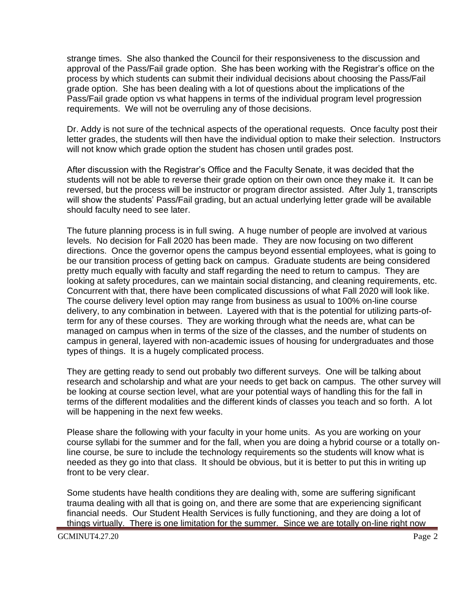strange times. She also thanked the Council for their responsiveness to the discussion and approval of the Pass/Fail grade option. She has been working with the Registrar's office on the process by which students can submit their individual decisions about choosing the Pass/Fail grade option. She has been dealing with a lot of questions about the implications of the Pass/Fail grade option vs what happens in terms of the individual program level progression requirements. We will not be overruling any of those decisions.

Dr. Addy is not sure of the technical aspects of the operational requests. Once faculty post their letter grades, the students will then have the individual option to make their selection. Instructors will not know which grade option the student has chosen until grades post.

After discussion with the Registrar's Office and the Faculty Senate, it was decided that the students will not be able to reverse their grade option on their own once they make it. It can be reversed, but the process will be instructor or program director assisted. After July 1, transcripts will show the students' Pass/Fail grading, but an actual underlying letter grade will be available should faculty need to see later.

The future planning process is in full swing. A huge number of people are involved at various levels. No decision for Fall 2020 has been made. They are now focusing on two different directions. Once the governor opens the campus beyond essential employees, what is going to be our transition process of getting back on campus. Graduate students are being considered pretty much equally with faculty and staff regarding the need to return to campus. They are looking at safety procedures, can we maintain social distancing, and cleaning requirements, etc. Concurrent with that, there have been complicated discussions of what Fall 2020 will look like. The course delivery level option may range from business as usual to 100% on-line course delivery, to any combination in between. Layered with that is the potential for utilizing parts-ofterm for any of these courses. They are working through what the needs are, what can be managed on campus when in terms of the size of the classes, and the number of students on campus in general, layered with non-academic issues of housing for undergraduates and those types of things. It is a hugely complicated process.

They are getting ready to send out probably two different surveys. One will be talking about research and scholarship and what are your needs to get back on campus. The other survey will be looking at course section level, what are your potential ways of handling this for the fall in terms of the different modalities and the different kinds of classes you teach and so forth. A lot will be happening in the next few weeks.

Please share the following with your faculty in your home units. As you are working on your course syllabi for the summer and for the fall, when you are doing a hybrid course or a totally online course, be sure to include the technology requirements so the students will know what is needed as they go into that class. It should be obvious, but it is better to put this in writing up front to be very clear.

Some students have health conditions they are dealing with, some are suffering significant trauma dealing with all that is going on, and there are some that are experiencing significant financial needs. Our Student Health Services is fully functioning, and they are doing a lot of things virtually. There is one limitation for the summer. Since we are totally on-line right now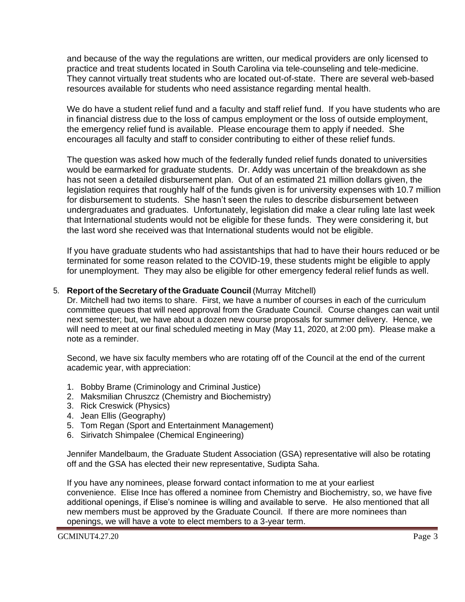and because of the way the regulations are written, our medical providers are only licensed to practice and treat students located in South Carolina via tele-counseling and tele-medicine. They cannot virtually treat students who are located out-of-state. There are several web-based resources available for students who need assistance regarding mental health.

We do have a student relief fund and a faculty and staff relief fund. If you have students who are in financial distress due to the loss of campus employment or the loss of outside employment, the emergency relief fund is available. Please encourage them to apply if needed. She encourages all faculty and staff to consider contributing to either of these relief funds.

The question was asked how much of the federally funded relief funds donated to universities would be earmarked for graduate students. Dr. Addy was uncertain of the breakdown as she has not seen a detailed disbursement plan. Out of an estimated 21 million dollars given, the legislation requires that roughly half of the funds given is for university expenses with 10.7 million for disbursement to students. She hasn't seen the rules to describe disbursement between undergraduates and graduates. Unfortunately, legislation did make a clear ruling late last week that International students would not be eligible for these funds. They were considering it, but the last word she received was that International students would not be eligible.

If you have graduate students who had assistantships that had to have their hours reduced or be terminated for some reason related to the COVID-19, these students might be eligible to apply for unemployment. They may also be eligible for other emergency federal relief funds as well.

## 5. **Report of the Secretary of the Graduate Council** (Murray Mitchell)

Dr. Mitchell had two items to share. First, we have a number of courses in each of the curriculum committee queues that will need approval from the Graduate Council. Course changes can wait until next semester; but, we have about a dozen new course proposals for summer delivery. Hence, we will need to meet at our final scheduled meeting in May (May 11, 2020, at 2:00 pm). Please make a note as a reminder.

Second, we have six faculty members who are rotating off of the Council at the end of the current academic year, with appreciation:

- 1. Bobby Brame (Criminology and Criminal Justice)
- 2. Maksmilian Chruszcz (Chemistry and Biochemistry)
- 3. Rick Creswick (Physics)
- 4. Jean Ellis (Geography)
- 5. Tom Regan (Sport and Entertainment Management)
- 6. Sirivatch Shimpalee (Chemical Engineering)

Jennifer Mandelbaum, the Graduate Student Association (GSA) representative will also be rotating off and the GSA has elected their new representative, Sudipta Saha.

If you have any nominees, please forward contact information to me at your earliest convenience. Elise Ince has offered a nominee from Chemistry and Biochemistry, so, we have five additional openings, if Elise's nominee is willing and available to serve. He also mentioned that all new members must be approved by the Graduate Council. If there are more nominees than openings, we will have a vote to elect members to a 3-year term.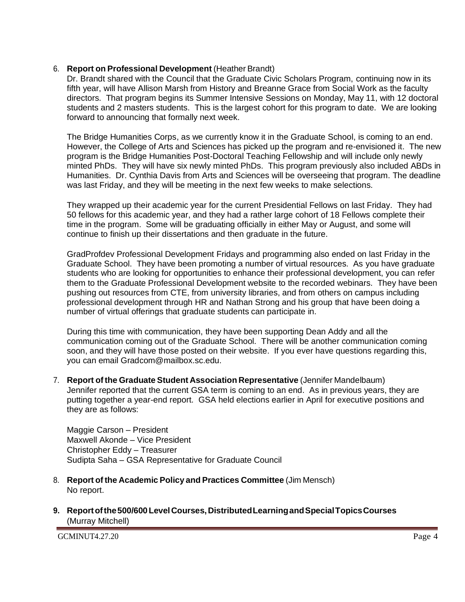## 6. **Report on Professional Development** (Heather Brandt)

Dr. Brandt shared with the Council that the Graduate Civic Scholars Program, continuing now in its fifth year, will have Allison Marsh from History and Breanne Grace from Social Work as the faculty directors. That program begins its Summer Intensive Sessions on Monday, May 11, with 12 doctoral students and 2 masters students. This is the largest cohort for this program to date. We are looking forward to announcing that formally next week.

The Bridge Humanities Corps, as we currently know it in the Graduate School, is coming to an end. However, the College of Arts and Sciences has picked up the program and re-envisioned it. The new program is the Bridge Humanities Post-Doctoral Teaching Fellowship and will include only newly minted PhDs. They will have six newly minted PhDs. This program previously also included ABDs in Humanities. Dr. Cynthia Davis from Arts and Sciences will be overseeing that program. The deadline was last Friday, and they will be meeting in the next few weeks to make selections.

They wrapped up their academic year for the current Presidential Fellows on last Friday. They had 50 fellows for this academic year, and they had a rather large cohort of 18 Fellows complete their time in the program. Some will be graduating officially in either May or August, and some will continue to finish up their dissertations and then graduate in the future.

GradProfdev Professional Development Fridays and programming also ended on last Friday in the Graduate School. They have been promoting a number of virtual resources. As you have graduate students who are looking for opportunities to enhance their professional development, you can refer them to the Graduate Professional Development website to the recorded webinars. They have been pushing out resources from CTE, from university libraries, and from others on campus including professional development through HR and Nathan Strong and his group that have been doing a number of virtual offerings that graduate students can participate in.

During this time with communication, they have been supporting Dean Addy and all the communication coming out of the Graduate School. There will be another communication coming soon, and they will have those posted on their website. If you ever have questions regarding this, you can email Gradcom@mailbox.sc.edu.

7. **Report of the Graduate Student Association Representative** (Jennifer Mandelbaum) Jennifer reported that the current GSA term is coming to an end. As in previous years, they are putting together a year-end report. GSA held elections earlier in April for executive positions and they are as follows:

Maggie Carson – President Maxwell Akonde – Vice President Christopher Eddy – Treasurer Sudipta Saha – GSA Representative for Graduate Council

- 8. **Report of the Academic Policy and Practices Committee** (Jim Mensch) No report.
- **9. Reportofthe500/600LevelCourses,DistributedLearningandSpecialTopicsCourses** (Murray Mitchell)

GCMINUT4.27.20 Page 4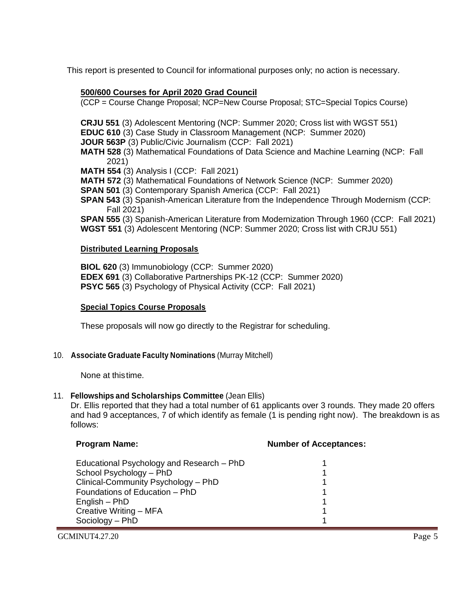This report is presented to Council for informational purposes only; no action is necessary.

## **500/600 Courses for April 2020 Grad Council**

(CCP = Course Change Proposal; NCP=New Course Proposal; STC=Special Topics Course)

**CRJU 551** (3) Adolescent Mentoring (NCP: Summer 2020; Cross list with WGST 551)

**EDUC 610** (3) Case Study in Classroom Management (NCP: Summer 2020)

**JOUR 563P** (3) Public/Civic Journalism (CCP: Fall 2021)

**MATH 528** (3) Mathematical Foundations of Data Science and Machine Learning (NCP: Fall 2021)

**MATH 554** (3) Analysis I (CCP: Fall 2021)

**MATH 572** (3) Mathematical Foundations of Network Science (NCP: Summer 2020)

**SPAN 501** (3) Contemporary Spanish America (CCP: Fall 2021)

**SPAN 543** (3) Spanish-American Literature from the Independence Through Modernism (CCP: Fall 2021)

**SPAN 555** (3) Spanish-American Literature from Modernization Through 1960 (CCP: Fall 2021) **WGST 551** (3) Adolescent Mentoring (NCP: Summer 2020; Cross list with CRJU 551)

## **Distributed Learning Proposals**

**BIOL 620** (3) Immunobiology (CCP: Summer 2020) **EDEX 691** (3) Collaborative Partnerships PK-12 (CCP: Summer 2020) **PSYC 565** (3) Psychology of Physical Activity (CCP: Fall 2021)

## **Special Topics Course Proposals**

These proposals will now go directly to the Registrar for scheduling.

## 10. **Associate Graduate Faculty Nominations** (Murray Mitchell)

None at thistime.

## 11. **Fellowships and Scholarships Committee** (Jean Ellis)

Dr. Ellis reported that they had a total number of 61 applicants over 3 rounds. They made 20 offers and had 9 acceptances, 7 of which identify as female (1 is pending right now). The breakdown is as follows:

| <b>Program Name:</b>                      | <b>Number of Acceptances:</b> |
|-------------------------------------------|-------------------------------|
| Educational Psychology and Research - PhD |                               |
| School Psychology - PhD                   |                               |
| Clinical-Community Psychology - PhD       |                               |
| Foundations of Education - PhD            |                               |
| English – PhD                             |                               |
| Creative Writing - MFA                    |                               |
| Sociology - PhD                           |                               |

GCMINUT4.27.20 Page 5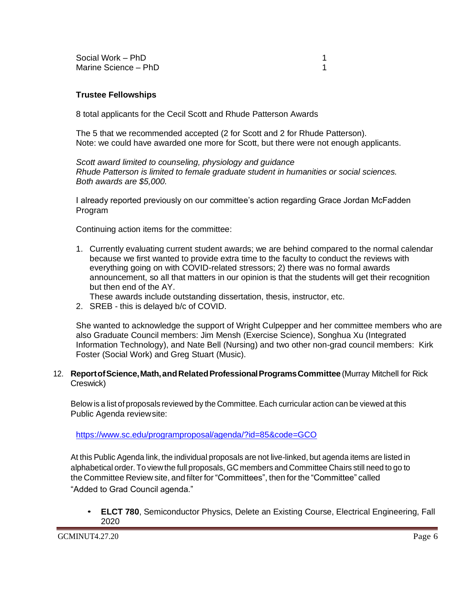Social Work – PhD 1 Marine Science – PhD 1

#### **Trustee Fellowships**

8 total applicants for the Cecil Scott and Rhude Patterson Awards

The 5 that we recommended accepted (2 for Scott and 2 for Rhude Patterson). Note: we could have awarded one more for Scott, but there were not enough applicants.

*Scott award limited to counseling, physiology and guidance Rhude Patterson is limited to female graduate student in humanities or social sciences. Both awards are \$5,000.*

I already reported previously on our committee's action regarding Grace Jordan McFadden Program

Continuing action items for the committee:

1. Currently evaluating current student awards; we are behind compared to the normal calendar because we first wanted to provide extra time to the faculty to conduct the reviews with everything going on with COVID-related stressors; 2) there was no formal awards announcement, so all that matters in our opinion is that the students will get their recognition but then end of the AY.

These awards include outstanding dissertation, thesis, instructor, etc.

2. SREB - this is delayed b/c of COVID.

She wanted to acknowledge the support of Wright Culpepper and her committee members who are also Graduate Council members: Jim Mensh (Exercise Science), Songhua Xu (Integrated Information Technology), and Nate Bell (Nursing) and two other non-grad council members: Kirk Foster (Social Work) and Greg Stuart (Music).

#### 12. **ReportofScience,Math,andRelatedProfessionalProgramsCommittee** (Murray Mitchell for Rick Creswick)

Below is a list of proposals reviewed by the Committee. Each curricular action can be viewed at this Public Agenda reviewsite:

<https://www.sc.edu/programproposal/agenda/?id=85&code=GCO>

At this Public Agenda link, the individual proposals are not live-linked, but agenda items are listed in alphabetical order. To view the full proposals, GC members and Committee Chairs still need to go to the Committee Review site, and filter for "Committees", then for the "Committee" called "Added to Grad Council agenda."

• **ELCT 780**, Semiconductor Physics, Delete an Existing Course, Electrical Engineering, Fall 2020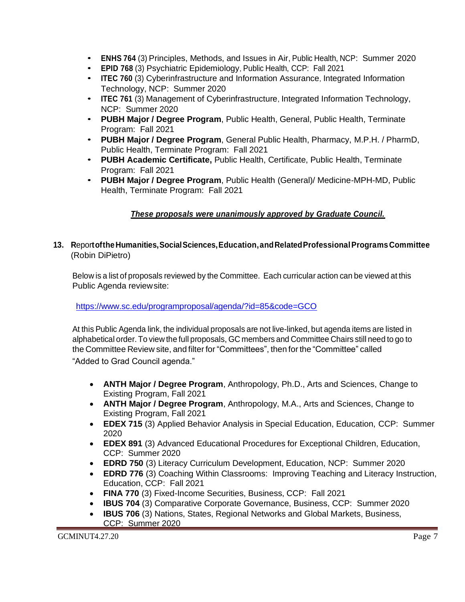- **ENHS <sup>764</sup>**(3) Principles, Methods, and Issues in Air, Public Health, NCP: Summer 2020
- **EPID 768** (3) Psychiatric Epidemiology, Public Health, CCP: Fall 2021
- **ITEC 760** (3) Cyberinfrastructure and Information Assurance, Integrated Information Technology, NCP: Summer 2020
- **ITEC 761** (3) Management of Cyberinfrastructure, Integrated Information Technology, NCP: Summer 2020
- **PUBH Major / Degree Program**, Public Health, General, Public Health, Terminate Program: Fall 2021
- **PUBH Major / Degree Program**, General Public Health, Pharmacy, M.P.H. / PharmD, Public Health, Terminate Program: Fall 2021
- **PUBH Academic Certificate,** Public Health, Certificate, Public Health, Terminate Program: Fall 2021
- **PUBH Major / Degree Program**, Public Health (General)/ Medicine-MPH-MD, Public Health, Terminate Program: Fall 2021

# *These proposals were unanimously approved by Graduate Council.*

**13. R**epor**toftheHumanities,SocialSciences,Education,andRelatedProfessionalPrograms Committee** (Robin DiPietro)

Below is a list of proposals reviewed by the Committee. Each curricular action can be viewed at this Public Agenda reviewsite:

<https://www.sc.edu/programproposal/agenda/?id=85&code=GCO>

At this Public Agenda link, the individual proposals are not live-linked, but agenda items are listed in alphabetical order. To view the full proposals, GC members and Committee Chairs still need to go to the Committee Review site, and filter for "Committees", then for the "Committee" called "Added to Grad Council agenda."

- **ANTH Major / Degree Program**, Anthropology, Ph.D., Arts and Sciences, Change to Existing Program, Fall 2021
- **ANTH Major / Degree Program**, Anthropology, M.A., Arts and Sciences, Change to Existing Program, Fall 2021
- **EDEX 715** (3) Applied Behavior Analysis in Special Education, Education, CCP: Summer 2020
- **EDEX 891** (3) Advanced Educational Procedures for Exceptional Children, Education, CCP: Summer 2020
- **EDRD 750** (3) Literacy Curriculum Development, Education, NCP: Summer 2020
- **EDRD 776** (3) Coaching Within Classrooms: Improving Teaching and Literacy Instruction, Education, CCP: Fall 2021
- **FINA 770** (3) Fixed-Income Securities, Business, CCP: Fall 2021
- **IBUS 704** (3) Comparative Corporate Governance, Business, CCP: Summer 2020
- **IBUS 706** (3) Nations, States, Regional Networks and Global Markets, Business, CCP: Summer 2020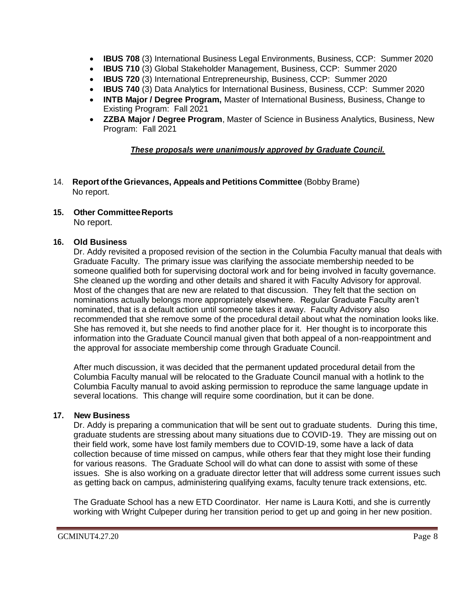- **IBUS 708** (3) International Business Legal Environments, Business, CCP: Summer 2020
- **IBUS 710** (3) Global Stakeholder Management, Business, CCP: Summer 2020
- **IBUS 720** (3) International Entrepreneurship, Business, CCP: Summer 2020
- **IBUS 740** (3) Data Analytics for International Business, Business, CCP: Summer 2020
- **INTB Major / Degree Program,** Master of International Business, Business, Change to Existing Program: Fall 2021
- **ZZBA Major / Degree Program**, Master of Science in Business Analytics, Business, New Program: Fall 2021

#### *These proposals were unanimously approved by Graduate Council.*

- 14. **Report ofthe Grievances, Appeals and Petitions Committee** (Bobby Brame) No report.
- **15. Other CommitteeReports**

No report.

## **16. Old Business**

Dr. Addy revisited a proposed revision of the section in the Columbia Faculty manual that deals with Graduate Faculty. The primary issue was clarifying the associate membership needed to be someone qualified both for supervising doctoral work and for being involved in faculty governance. She cleaned up the wording and other details and shared it with Faculty Advisory for approval. Most of the changes that are new are related to that discussion. They felt that the section on nominations actually belongs more appropriately elsewhere. Regular Graduate Faculty aren't nominated, that is a default action until someone takes it away. Faculty Advisory also recommended that she remove some of the procedural detail about what the nomination looks like. She has removed it, but she needs to find another place for it. Her thought is to incorporate this information into the Graduate Council manual given that both appeal of a non-reappointment and the approval for associate membership come through Graduate Council.

After much discussion, it was decided that the permanent updated procedural detail from the Columbia Faculty manual will be relocated to the Graduate Council manual with a hotlink to the Columbia Faculty manual to avoid asking permission to reproduce the same language update in several locations. This change will require some coordination, but it can be done.

## **17. New Business**

Dr. Addy is preparing a communication that will be sent out to graduate students. During this time, graduate students are stressing about many situations due to COVID-19. They are missing out on their field work, some have lost family members due to COVID-19, some have a lack of data collection because of time missed on campus, while others fear that they might lose their funding for various reasons. The Graduate School will do what can done to assist with some of these issues. She is also working on a graduate director letter that will address some current issues such as getting back on campus, administering qualifying exams, faculty tenure track extensions, etc.

The Graduate School has a new ETD Coordinator. Her name is Laura Kotti, and she is currently working with Wright Culpeper during her transition period to get up and going in her new position.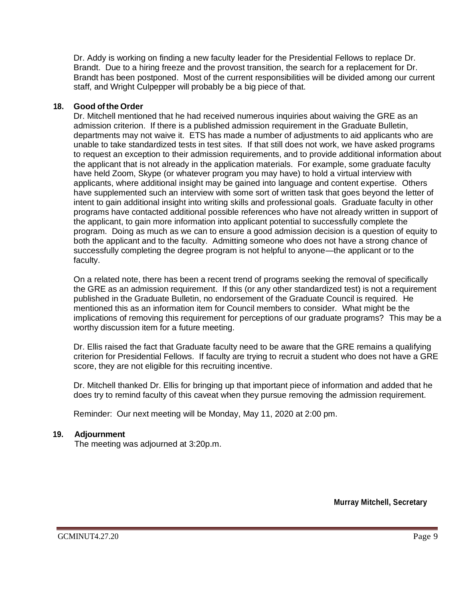Dr. Addy is working on finding a new faculty leader for the Presidential Fellows to replace Dr. Brandt. Due to a hiring freeze and the provost transition, the search for a replacement for Dr. Brandt has been postponed. Most of the current responsibilities will be divided among our current staff, and Wright Culpepper will probably be a big piece of that.

## **18. Good ofthe Order**

Dr. Mitchell mentioned that he had received numerous inquiries about waiving the GRE as an admission criterion. If there is a published admission requirement in the Graduate Bulletin, departments may not waive it. ETS has made a number of adjustments to aid applicants who are unable to take standardized tests in test sites. If that still does not work, we have asked programs to request an exception to their admission requirements, and to provide additional information about the applicant that is not already in the application materials. For example, some graduate faculty have held Zoom, Skype (or whatever program you may have) to hold a virtual interview with applicants, where additional insight may be gained into language and content expertise. Others have supplemented such an interview with some sort of written task that goes beyond the letter of intent to gain additional insight into writing skills and professional goals. Graduate faculty in other programs have contacted additional possible references who have not already written in support of the applicant, to gain more information into applicant potential to successfully complete the program. Doing as much as we can to ensure a good admission decision is a question of equity to both the applicant and to the faculty. Admitting someone who does not have a strong chance of successfully completing the degree program is not helpful to anyone—the applicant or to the faculty.

On a related note, there has been a recent trend of programs seeking the removal of specifically the GRE as an admission requirement. If this (or any other standardized test) is not a requirement published in the Graduate Bulletin, no endorsement of the Graduate Council is required. He mentioned this as an information item for Council members to consider. What might be the implications of removing this requirement for perceptions of our graduate programs? This may be a worthy discussion item for a future meeting.

Dr. Ellis raised the fact that Graduate faculty need to be aware that the GRE remains a qualifying criterion for Presidential Fellows. If faculty are trying to recruit a student who does not have a GRE score, they are not eligible for this recruiting incentive.

Dr. Mitchell thanked Dr. Ellis for bringing up that important piece of information and added that he does try to remind faculty of this caveat when they pursue removing the admission requirement.

Reminder: Our next meeting will be Monday, May 11, 2020 at 2:00 pm.

## **19. Adjournment**

The meeting was adjourned at 3:20p.m.

**Murray Mitchell, Secretary**